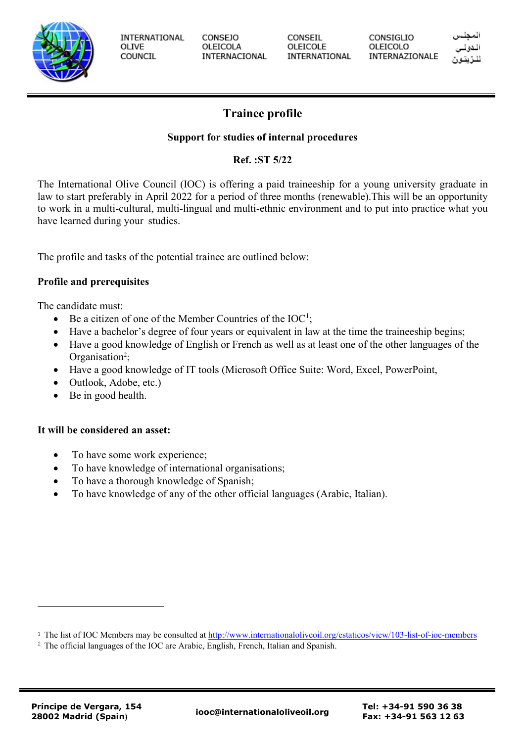

**INTERNATIONAL** OLIVE COUNCIL

**CONSEJO** OLEICOLA INTERNACIONAL CONSEIL OLEICOLE INTERNATIONAL **CONSIGLIO** OLEICOLO INTERNAZIONALE

# **Trainee profile**

## **Support for studies of internal procedures**

# **Ref. :ST 5/22**

The International Olive Council (IOC) is offering a paid traineeship for a young university graduate in law to start preferably in April 2022 for a period of three months (renewable).This will be an opportunity to work in a multi-cultural, multi-lingual and multi-ethnic environment and to put into practice what you have learned during your studies.

The profile and tasks of the potential trainee are outlined below:

### **Profile and prerequisites**

The candidate must:

- Be a citizen of one of the Member Countries of the  $IOC^1$ ;
- Have a bachelor's degree of four years or equivalent in law at the time the traineeship begins;
- Have a good knowledge of English or French as well as at least one of the other languages of the Organisation<sup>2</sup>;
- Have a good knowledge of IT tools (Microsoft Office Suite: Word, Excel, PowerPoint,
- Outlook, Adobe, etc.)
- Be in good health.

### **It will be considered an asset:**

- To have some work experience;
- To have knowledge of international organisations;
- To have a thorough knowledge of Spanish;
- To have knowledge of any of the other official languages (Arabic, Italian).

<sup>&</sup>lt;sup>1</sup> The list of IOC Members may be consulted at<http://www.internationaloliveoil.org/estaticos/view/103-list-of-ioc-members>

<sup>&</sup>lt;sup>2</sup> The official languages of the IOC are Arabic, English, French, Italian and Spanish.